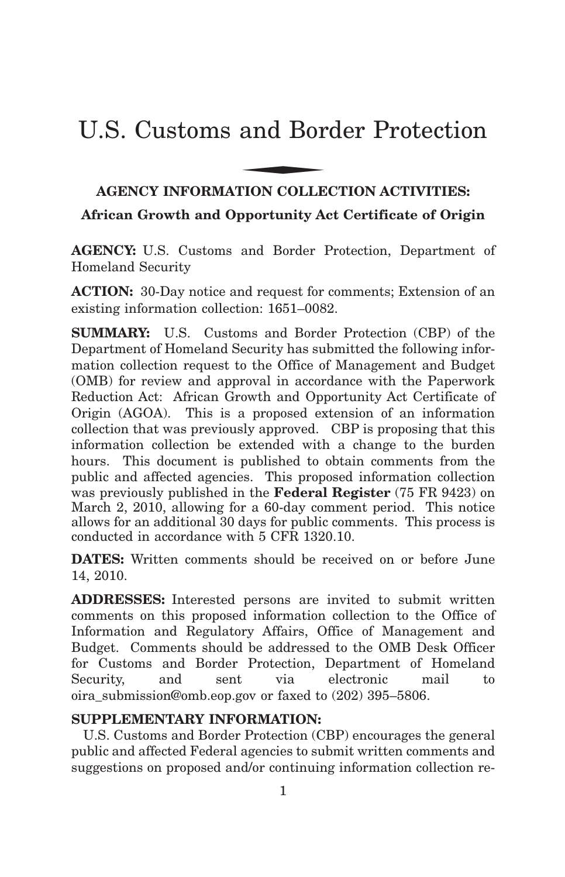# U.S. Customs and Border Protection and Bor

# **AGENCY INFORMATION COLLECTION ACTIVITIES:**

**African Growth and Opportunity Act Certificate of Origin**

**AGENCY:** U.S. Customs and Border Protection, Department of Homeland Security

**ACTION:** 30-Day notice and request for comments; Extension of an existing information collection: 1651–0082.

**SUMMARY:** U.S. Customs and Border Protection (CBP) of the Department of Homeland Security has submitted the following information collection request to the Office of Management and Budget (OMB) for review and approval in accordance with the Paperwork Reduction Act: African Growth and Opportunity Act Certificate of Origin (AGOA). This is a proposed extension of an information collection that was previously approved. CBP is proposing that this information collection be extended with a change to the burden hours. This document is published to obtain comments from the public and affected agencies. This proposed information collection was previously published in the **Federal Register** (75 FR 9423) on March 2, 2010, allowing for a 60-day comment period. This notice allows for an additional 30 days for public comments. This process is conducted in accordance with 5 CFR 1320.10.

**DATES:** Written comments should be received on or before June 14, 2010.

**ADDRESSES:** Interested persons are invited to submit written comments on this proposed information collection to the Office of Information and Regulatory Affairs, Office of Management and Budget. Comments should be addressed to the OMB Desk Officer for Customs and Border Protection, Department of Homeland Security, and sent via electronic mail to oira\_submission@omb.eop.gov or faxed to (202) 395–5806.

### **SUPPLEMENTARY INFORMATION:**

U.S. Customs and Border Protection (CBP) encourages the general public and affected Federal agencies to submit written comments and suggestions on proposed and/or continuing information collection re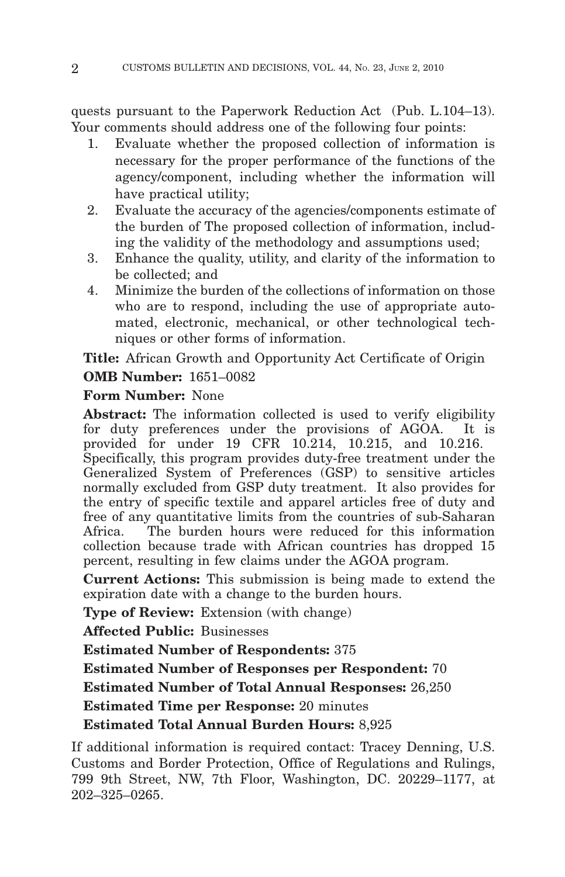quests pursuant to the Paperwork Reduction Act (Pub. L.104–13). Your comments should address one of the following four points:

- 1. Evaluate whether the proposed collection of information is necessary for the proper performance of the functions of the agency/component, including whether the information will have practical utility;
- 2. Evaluate the accuracy of the agencies/components estimate of the burden of The proposed collection of information, including the validity of the methodology and assumptions used;
- 3. Enhance the quality, utility, and clarity of the information to be collected; and
- 4. Minimize the burden of the collections of information on those who are to respond, including the use of appropriate automated, electronic, mechanical, or other technological techniques or other forms of information.

**Title:** African Growth and Opportunity Act Certificate of Origin **OMB Number:** 1651–0082

# **Form Number:** None

**Abstract:** The information collected is used to verify eligibility for duty preferences under the provisions of AGOA. It is provided for under 19 CFR 10.214, 10.215, and 10.216. Specifically, this program provides duty-free treatment under the Generalized System of Preferences (GSP) to sensitive articles normally excluded from GSP duty treatment. It also provides for the entry of specific textile and apparel articles free of duty and free of any quantitative limits from the countries of sub-Saharan Africa. The burden hours were reduced for this information collection because trade with African countries has dropped 15 percent, resulting in few claims under the AGOA program.

**Current Actions:** This submission is being made to extend the expiration date with a change to the burden hours.

**Type of Review:** Extension (with change)

**Affected Public:** Businesses

**Estimated Number of Respondents:** 375

**Estimated Number of Responses per Respondent:** 70

**Estimated Number of Total Annual Responses:** 26,250

**Estimated Time per Response:** 20 minutes

**Estimated Total Annual Burden Hours:** 8,925

If additional information is required contact: Tracey Denning, U.S. Customs and Border Protection, Office of Regulations and Rulings, 799 9th Street, NW, 7th Floor, Washington, DC. 20229–1177, at 202–325–0265.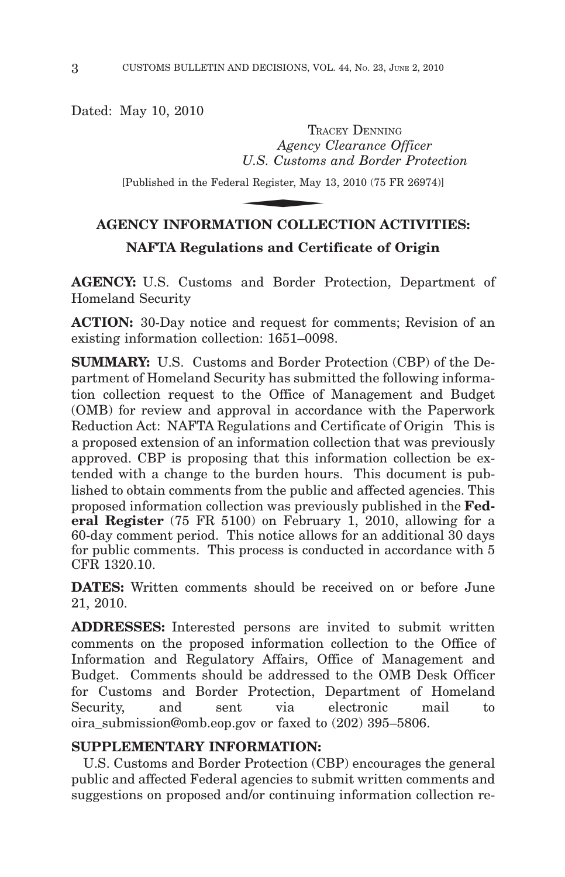Dated: May 10, 2010

TRACEY DENNING *Agency Clearance Officer U.S. Customs and Border Protection* TRA<br>
Agency (<br>
U.S. Customs<br>
ral Register, May 1<br>
NION COLLE

[Published in the Federal Register, May 13, 2010 (75 FR 26974)]

# **AGENCY INFORMATION COLLECTION ACTIVITIES: NAFTA Regulations and Certificate of Origin**

**AGENCY:** U.S. Customs and Border Protection, Department of Homeland Security

**ACTION:** 30-Day notice and request for comments; Revision of an existing information collection: 1651–0098.

**SUMMARY:** U.S. Customs and Border Protection (CBP) of the Department of Homeland Security has submitted the following information collection request to the Office of Management and Budget (OMB) for review and approval in accordance with the Paperwork Reduction Act: NAFTA Regulations and Certificate of Origin This is a proposed extension of an information collection that was previously approved. CBP is proposing that this information collection be extended with a change to the burden hours. This document is published to obtain comments from the public and affected agencies. This proposed information collection was previously published in the **Federal Register** (75 FR 5100) on February 1, 2010, allowing for a 60-day comment period. This notice allows for an additional 30 days for public comments. This process is conducted in accordance with 5 CFR 1320.10.

**DATES:** Written comments should be received on or before June 21, 2010.

**ADDRESSES:** Interested persons are invited to submit written comments on the proposed information collection to the Office of Information and Regulatory Affairs, Office of Management and Budget. Comments should be addressed to the OMB Desk Officer for Customs and Border Protection, Department of Homeland Security, and sent via electronic mail to oira\_submission@omb.eop.gov or faxed to (202) 395–5806.

### **SUPPLEMENTARY INFORMATION:**

U.S. Customs and Border Protection (CBP) encourages the general public and affected Federal agencies to submit written comments and suggestions on proposed and/or continuing information collection re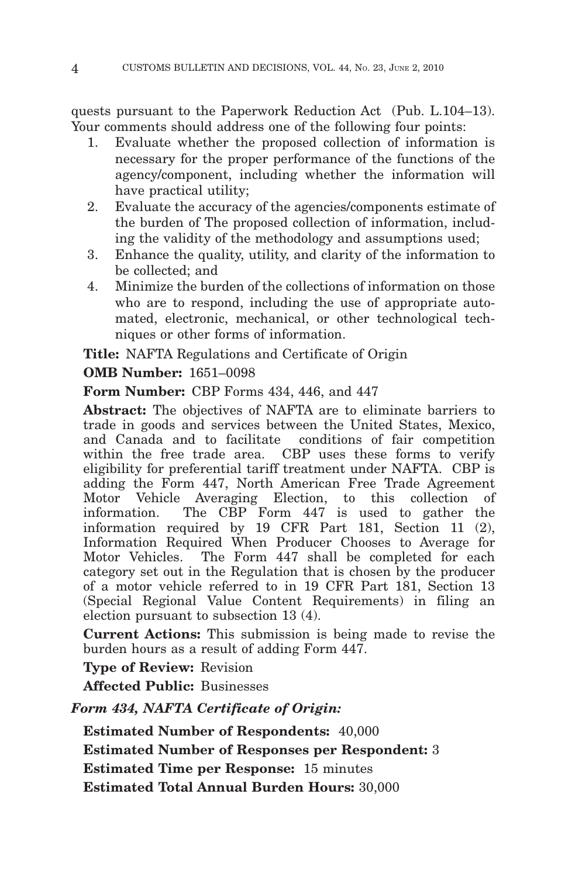quests pursuant to the Paperwork Reduction Act (Pub. L.104–13). Your comments should address one of the following four points:

- 1. Evaluate whether the proposed collection of information is necessary for the proper performance of the functions of the agency/component, including whether the information will have practical utility;
- 2. Evaluate the accuracy of the agencies/components estimate of the burden of The proposed collection of information, including the validity of the methodology and assumptions used;
- 3. Enhance the quality, utility, and clarity of the information to be collected; and
- 4. Minimize the burden of the collections of information on those who are to respond, including the use of appropriate automated, electronic, mechanical, or other technological techniques or other forms of information.

**Title:** NAFTA Regulations and Certificate of Origin **OMB Number:** 1651–0098

**Form Number:** CBP Forms 434, 446, and 447

**Abstract:** The objectives of NAFTA are to eliminate barriers to trade in goods and services between the United States, Mexico, and Canada and to facilitate conditions of fair competition within the free trade area. CBP uses these forms to verify eligibility for preferential tariff treatment under NAFTA. CBP is adding the Form 447, North American Free Trade Agreement Motor Vehicle Averaging Election, to this collection of information. The CBP Form 447 is used to gather the information required by 19 CFR Part 181, Section 11 (2), Information Required When Producer Chooses to Average for Motor Vehicles. The Form 447 shall be completed for each category set out in the Regulation that is chosen by the producer of a motor vehicle referred to in 19 CFR Part 181, Section 13 (Special Regional Value Content Requirements) in filing an election pursuant to subsection 13 (4).

**Current Actions:** This submission is being made to revise the burden hours as a result of adding Form 447.

**Type of Review:** Revision

**Affected Public:** Businesses

*Form 434, NAFTA Certificate of Origin:*

**Estimated Number of Respondents:** 40,000

**Estimated Number of Responses per Respondent:** 3

**Estimated Time per Response:** 15 minutes

**Estimated Total Annual Burden Hours:** 30,000